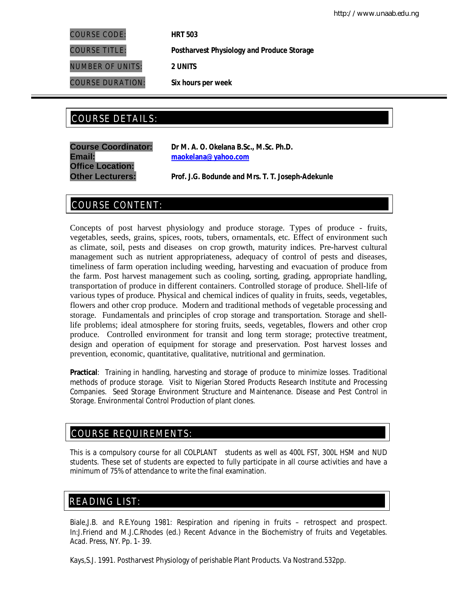COURSE CODE: **HRT 503**

COURSE TITLE: **Postharvest Physiology and Produce Storage**

NUMBER OF UNITS: **2 UNITS**

COURSE DURATION: **Six hours per week**

# COURSE DETAILS: COURSE DETAILS:

**Email: maokelana@yahoo.com Office Location:**

**Course Coordinator: Dr M. A. O. Okelana B.Sc., M.Sc. Ph.D.**

**Other Lecturers: Prof. J.G. Bodunde and Mrs. T. T. Joseph-Adekunle**

# COURSE CONTENT:

Concepts of post harvest physiology and produce storage. Types of produce - fruits, vegetables, seeds, grains, spices, roots, tubers, ornamentals, etc. Effect of environment such as climate, soil, pests and diseases on crop growth, maturity indices. Pre-harvest cultural management such as nutrient appropriateness, adequacy of control of pests and diseases, timeliness of farm operation including weeding, harvesting and evacuation of produce from the farm. Post harvest management such as cooling, sorting, grading, appropriate handling, transportation of produce in different containers. Controlled storage of produce. Shell-life of various types of produce. Physical and chemical indices of quality in fruits, seeds, vegetables, flowers and other crop produce. Modern and traditional methods of vegetable processing and storage. Fundamentals and principles of crop storage and transportation. Storage and shelllife problems; ideal atmosphere for storing fruits, seeds, vegetables, flowers and other crop produce. Controlled environment for transit and long term storage; protective treatment, design and operation of equipment for storage and preservation. Post harvest losses and prevention, economic, quantitative, qualitative, nutritional and germination.

**Practical**: Training in handling, harvesting and storage of produce to minimize losses. Traditional methods of produce storage. Visit to Nigerian Stored Products Research Institute and Processing Companies. Seed Storage Environment Structure and Maintenance. Disease and Pest Control in Storage. Environmental Control Production of plant clones.

# COURSE REQUIREMENTS:

This is a compulsory course for all COLPLANT students as well as 400L FST, 300L HSM and NUD students. These set of students are expected to fully participate in all course activities and have a minimum of 75% of attendance to write the final examination.

# READING LIST:

Biale,J.B. and R.E.Young 1981: Respiration and ripening in fruits – retrospect and prospect. In:J.Friend and M.J.C.Rhodes (ed.) Recent Advance in the Biochemistry of fruits and Vegetables. Acad. Press, NY. Pp. 1- 39.

Kays,S.J. 1991. Postharvest Physiology of perishable Plant Products. Va Nostrand.532pp.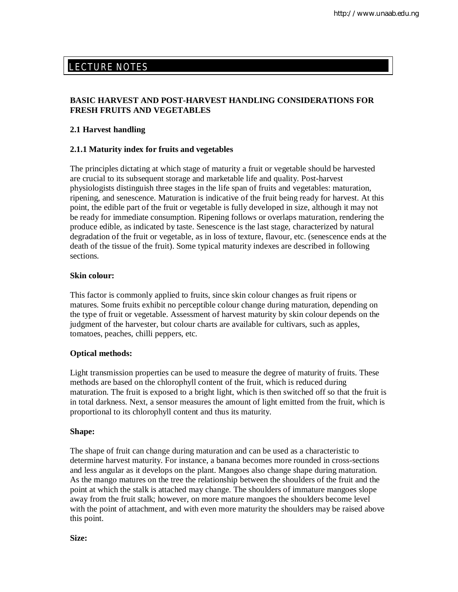# E LECTURE NOTES

# **BASIC HARVEST AND POST-HARVEST HANDLING CONSIDERATIONS FOR FRESH FRUITS AND VEGETABLES**

# **2.1 Harvest handling**

# **2.1.1 Maturity index for fruits and vegetables**

The principles dictating at which stage of maturity a fruit or vegetable should be harvested are crucial to its subsequent storage and marketable life and quality. Post-harvest physiologists distinguish three stages in the life span of fruits and vegetables: maturation, ripening, and senescence. Maturation is indicative of the fruit being ready for harvest. At this point, the edible part of the fruit or vegetable is fully developed in size, although it may not be ready for immediate consumption. Ripening follows or overlaps maturation, rendering the produce edible, as indicated by taste. Senescence is the last stage, characterized by natural degradation of the fruit or vegetable, as in loss of texture, flavour, etc. (senescence ends at the death of the tissue of the fruit). Some typical maturity indexes are described in following sections.

# **Skin colour:**

This factor is commonly applied to fruits, since skin colour changes as fruit ripens or matures. Some fruits exhibit no perceptible colour change during maturation, depending on the type of fruit or vegetable. Assessment of harvest maturity by skin colour depends on the judgment of the harvester, but colour charts are available for cultivars, such as apples, tomatoes, peaches, chilli peppers, etc.

# **Optical methods:**

Light transmission properties can be used to measure the degree of maturity of fruits. These methods are based on the chlorophyll content of the fruit, which is reduced during maturation. The fruit is exposed to a bright light, which is then switched off so that the fruit is in total darkness. Next, a sensor measures the amount of light emitted from the fruit, which is proportional to its chlorophyll content and thus its maturity.

# **Shape:**

The shape of fruit can change during maturation and can be used as a characteristic to determine harvest maturity. For instance, a banana becomes more rounded in cross-sections and less angular as it develops on the plant. Mangoes also change shape during maturation. As the mango matures on the tree the relationship between the shoulders of the fruit and the point at which the stalk is attached may change. The shoulders of immature mangoes slope away from the fruit stalk; however, on more mature mangoes the shoulders become level with the point of attachment, and with even more maturity the shoulders may be raised above this point.

**Size:**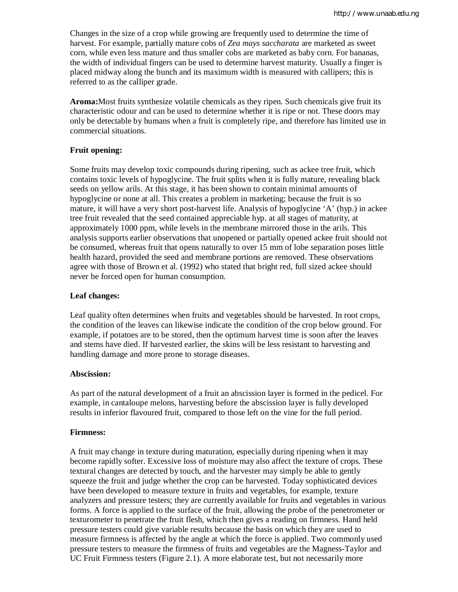Changes in the size of a crop while growing are frequently used to determine the time of harvest. For example, partially mature cobs of *Zea mays saccharata* are marketed as sweet corn, while even less mature and thus smaller cobs are marketed as baby corn. For bananas, the width of individual fingers can be used to determine harvest maturity. Usually a finger is placed midway along the bunch and its maximum width is measured with callipers; this is referred to as the calliper grade.

**Aroma:**Most fruits synthesize volatile chemicals as they ripen. Such chemicals give fruit its characteristic odour and can be used to determine whether it is ripe or not. These doors may only be detectable by humans when a fruit is completely ripe, and therefore has limited use in commercial situations.

#### **Fruit opening:**

Some fruits may develop toxic compounds during ripening, such as ackee tree fruit, which contains toxic levels of hypoglycine. The fruit splits when it is fully mature, revealing black seeds on yellow arils. At this stage, it has been shown to contain minimal amounts of hypoglycine or none at all. This creates a problem in marketing; because the fruit is so mature, it will have a very short post-harvest life. Analysis of hypoglycine 'A' (hyp.) in ackee tree fruit revealed that the seed contained appreciable hyp. at all stages of maturity, at approximately 1000 ppm, while levels in the membrane mirrored those in the arils. This analysis supports earlier observations that unopened or partially opened ackee fruit should not be consumed, whereas fruit that opens naturally to over 15 mm of lobe separation poses little health hazard, provided the seed and membrane portions are removed. These observations agree with those of Brown et al. (1992) who stated that bright red, full sized ackee should never be forced open for human consumption.

#### **Leaf changes:**

Leaf quality often determines when fruits and vegetables should be harvested. In root crops, the condition of the leaves can likewise indicate the condition of the crop below ground. For example, if potatoes are to be stored, then the optimum harvest time is soon after the leaves and stems have died. If harvested earlier, the skins will be less resistant to harvesting and handling damage and more prone to storage diseases.

### **Abscission:**

As part of the natural development of a fruit an abscission layer is formed in the pedicel. For example, in cantaloupe melons, harvesting before the abscission layer is fully developed results in inferior flavoured fruit, compared to those left on the vine for the full period.

#### **Firmness:**

A fruit may change in texture during maturation, especially during ripening when it may become rapidly softer. Excessive loss of moisture may also affect the texture of crops. These textural changes are detected by touch, and the harvester may simply be able to gently squeeze the fruit and judge whether the crop can be harvested. Today sophisticated devices have been developed to measure texture in fruits and vegetables, for example, texture analyzers and pressure testers; they are currently available for fruits and vegetables in various forms. A force is applied to the surface of the fruit, allowing the probe of the penetrometer or texturometer to penetrate the fruit flesh, which then gives a reading on firmness. Hand held pressure testers could give variable results because the basis on which they are used to measure firmness is affected by the angle at which the force is applied. Two commonly used pressure testers to measure the firmness of fruits and vegetables are the Magness-Taylor and UC Fruit Firmness testers (Figure 2.1). A more elaborate test, but not necessarily more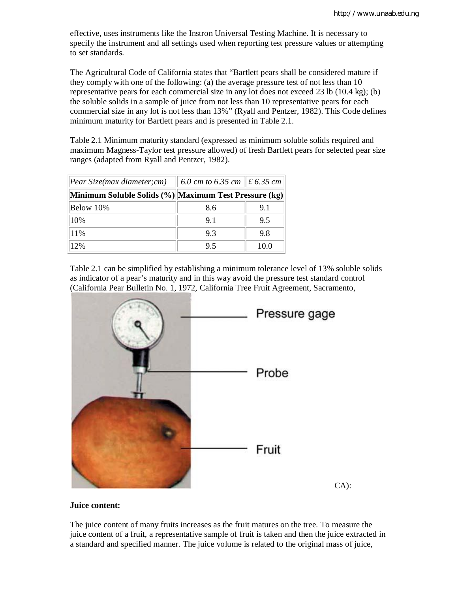effective, uses instruments like the Instron Universal Testing Machine. It is necessary to specify the instrument and all settings used when reporting test pressure values or attempting to set standards.

The Agricultural Code of California states that "Bartlett pears shall be considered mature if they comply with one of the following: (a) the average pressure test of not less than 10 representative pears for each commercial size in any lot does not exceed 23 lb  $(10.4 \text{ kg})$ ; (b) the soluble solids in a sample of juice from not less than 10 representative pears for each commercial size in any lot is not less than 13%" (Ryall and Pentzer, 1982). This Code defines minimum maturity for Bartlett pears and is presented in Table 2.1.

Table 2.1 Minimum maturity standard (expressed as minimum soluble solids required and maximum Magness-Taylor test pressure allowed) of fresh Bartlett pears for selected pear size ranges (adapted from Ryall and Pentzer, 1982).

| [Pear Size(max diameter; cm)]                         | 6.0 cm to 6.35 cm   £ 6.35 cm |      |  |  |
|-------------------------------------------------------|-------------------------------|------|--|--|
| Minimum Soluble Solids (%) Maximum Test Pressure (kg) |                               |      |  |  |
| Below 10%                                             | 8.6                           | 9.1  |  |  |
| 10%                                                   | 9.1                           | 95   |  |  |
| 11%                                                   | 9.3                           | 98   |  |  |
| 12%                                                   | 95                            | 10.0 |  |  |

Table 2.1 can be simplified by establishing a minimum tolerance level of 13% soluble solids as indicator of a pear's maturity and in this way avoid the pressure test standard control (California Pear Bulletin No. 1, 1972, California Tree Fruit Agreement, Sacramento,



# **Juice content:**

The juice content of many fruits increases as the fruit matures on the tree. To measure the juice content of a fruit, a representative sample of fruit is taken and then the juice extracted in a standard and specified manner. The juice volume is related to the original mass of juice,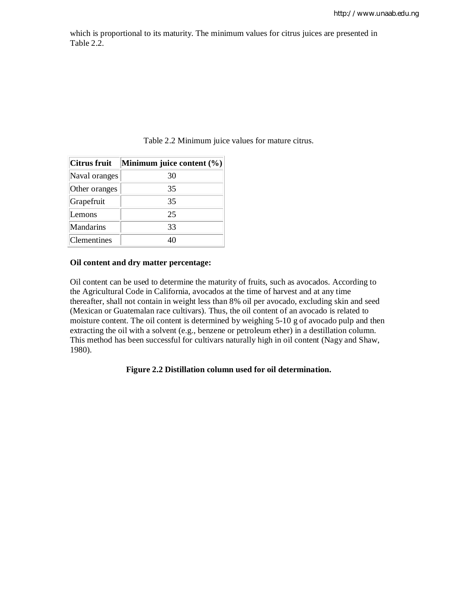which is proportional to its maturity. The minimum values for citrus juices are presented in Table 2.2.

| Citrus fruit     | Minimum juice content (%) |
|------------------|---------------------------|
| Naval oranges    | 30                        |
| Other oranges    | 35                        |
| Grapefruit       | 35                        |
| Lemons           | 25                        |
| <b>Mandarins</b> | 33                        |
| Clementines      |                           |

Table 2.2 Minimum juice values for mature citrus.

### **Oil content and dry matter percentage:**

Oil content can be used to determine the maturity of fruits, such as avocados. According to the Agricultural Code in California, avocados at the time of harvest and at any time thereafter, shall not contain in weight less than 8% oil per avocado, excluding skin and seed (Mexican or Guatemalan race cultivars). Thus, the oil content of an avocado is related to moisture content. The oil content is determined by weighing 5-10 g of avocado pulp and then extracting the oil with a solvent (e.g., benzene or petroleum ether) in a destillation column. This method has been successful for cultivars naturally high in oil content (Nagy and Shaw, 1980).

### **Figure 2.2 Distillation column used for oil determination.**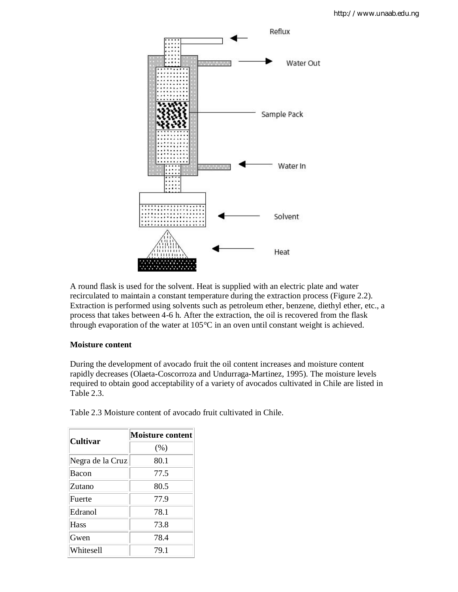

A round flask is used for the solvent. Heat is supplied with an electric plate and water recirculated to maintain a constant temperature during the extraction process (Figure 2.2). Extraction is performed using solvents such as petroleum ether, benzene, diethyl ether, etc., a process that takes between 4-6 h. After the extraction, the oil is recovered from the flask through evaporation of the water at 105°C in an oven until constant weight is achieved.

# **Moisture content**

During the development of avocado fruit the oil content increases and moisture content rapidly decreases (Olaeta-Coscorroza and Undurraga-Martinez, 1995). The moisture levels required to obtain good acceptability of a variety of avocados cultivated in Chile are listed in Table 2.3.

Table 2.3 Moisture content of avocado fruit cultivated in Chile.

|                  | <b>Moisture content</b> |  |  |
|------------------|-------------------------|--|--|
| <b>Cultivar</b>  | (%)                     |  |  |
| Negra de la Cruz | 80.1                    |  |  |
| Bacon            | 77.5                    |  |  |
| Zutano           | 80.5                    |  |  |
| Fuerte           | 77.9                    |  |  |
| Edranol          | 78.1                    |  |  |
| <b>Hass</b>      | 73.8                    |  |  |
| Gwen             | 78.4                    |  |  |
| Whitesell        | 79.1                    |  |  |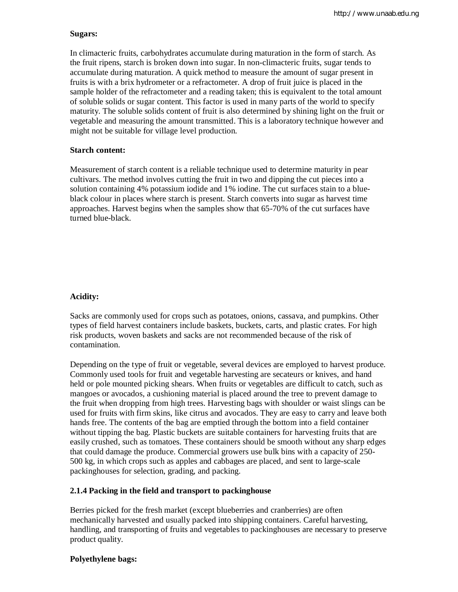### **Sugars:**

In climacteric fruits, carbohydrates accumulate during maturation in the form of starch. As the fruit ripens, starch is broken down into sugar. In non-climacteric fruits, sugar tends to accumulate during maturation. A quick method to measure the amount of sugar present in fruits is with a brix hydrometer or a refractometer. A drop of fruit juice is placed in the sample holder of the refractometer and a reading taken; this is equivalent to the total amount of soluble solids or sugar content. This factor is used in many parts of the world to specify maturity. The soluble solids content of fruit is also determined by shining light on the fruit or vegetable and measuring the amount transmitted. This is a laboratory technique however and might not be suitable for village level production.

### **Starch content:**

Measurement of starch content is a reliable technique used to determine maturity in pear cultivars. The method involves cutting the fruit in two and dipping the cut pieces into a solution containing 4% potassium iodide and 1% iodine. The cut surfaces stain to a blueblack colour in places where starch is present. Starch converts into sugar as harvest time approaches. Harvest begins when the samples show that 65-70% of the cut surfaces have turned blue-black.

# **Acidity:**

Sacks are commonly used for crops such as potatoes, onions, cassava, and pumpkins. Other types of field harvest containers include baskets, buckets, carts, and plastic crates. For high risk products, woven baskets and sacks are not recommended because of the risk of contamination.

Depending on the type of fruit or vegetable, several devices are employed to harvest produce. Commonly used tools for fruit and vegetable harvesting are secateurs or knives, and hand held or pole mounted picking shears. When fruits or vegetables are difficult to catch, such as mangoes or avocados, a cushioning material is placed around the tree to prevent damage to the fruit when dropping from high trees. Harvesting bags with shoulder or waist slings can be used for fruits with firm skins, like citrus and avocados. They are easy to carry and leave both hands free. The contents of the bag are emptied through the bottom into a field container without tipping the bag. Plastic buckets are suitable containers for harvesting fruits that are easily crushed, such as tomatoes. These containers should be smooth without any sharp edges that could damage the produce. Commercial growers use bulk bins with a capacity of 250- 500 kg, in which crops such as apples and cabbages are placed, and sent to large-scale packinghouses for selection, grading, and packing.

# **2.1.4 Packing in the field and transport to packinghouse**

Berries picked for the fresh market (except blueberries and cranberries) are often mechanically harvested and usually packed into shipping containers. Careful harvesting, handling, and transporting of fruits and vegetables to packinghouses are necessary to preserve product quality.

# **Polyethylene bags:**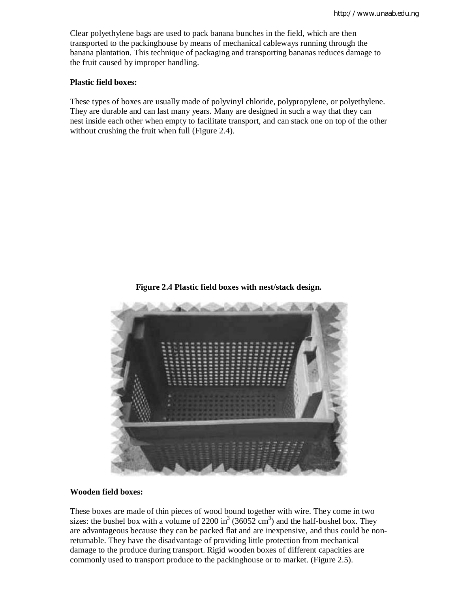Clear polyethylene bags are used to pack banana bunches in the field, which are then transported to the packinghouse by means of mechanical cableways running through the banana plantation. This technique of packaging and transporting bananas reduces damage to the fruit caused by improper handling.

### **Plastic field boxes:**

These types of boxes are usually made of polyvinyl chloride, polypropylene, or polyethylene. They are durable and can last many years. Many are designed in such a way that they can nest inside each other when empty to facilitate transport, and can stack one on top of the other without crushing the fruit when full (Figure 2.4).

**Figure 2.4 Plastic field boxes with nest/stack design.**



### **Wooden field boxes:**

These boxes are made of thin pieces of wood bound together with wire. They come in two sizes: the bushel box with a volume of 2200 in<sup>3</sup> (36052 cm<sup>3</sup>) and the half-bushel box. They are advantageous because they can be packed flat and are inexpensive, and thus could be nonreturnable. They have the disadvantage of providing little protection from mechanical damage to the produce during transport. Rigid wooden boxes of different capacities are commonly used to transport produce to the packinghouse or to market. (Figure 2.5).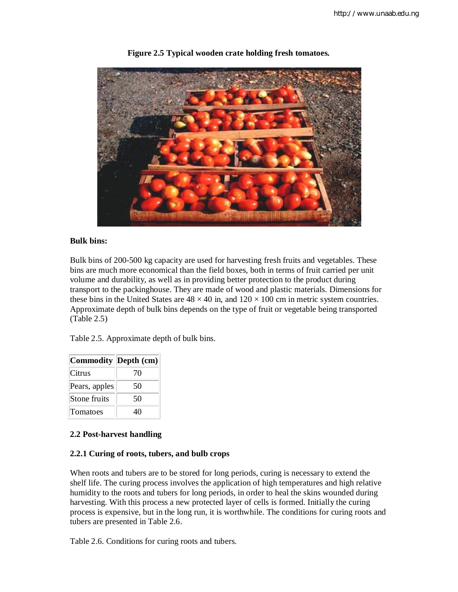

**Figure 2.5 Typical wooden crate holding fresh tomatoes.**

# **Bulk bins:**

Bulk bins of 200-500 kg capacity are used for harvesting fresh fruits and vegetables. These bins are much more economical than the field boxes, both in terms of fruit carried per unit volume and durability, as well as in providing better protection to the product during transport to the packinghouse. They are made of wood and plastic materials. Dimensions for these bins in the United States are  $48 \times 40$  in, and  $120 \times 100$  cm in metric system countries. Approximate depth of bulk bins depends on the type of fruit or vegetable being transported (Table 2.5)

Table 2.5. Approximate depth of bulk bins.

| Commodity Depth (cm) |    |
|----------------------|----|
| Citrus               | 70 |
| Pears, apples        | 50 |
| Stone fruits         | 50 |
| Tomatoes             |    |

# **2.2 Post-harvest handling**

# **2.2.1 Curing of roots, tubers, and bulb crops**

When roots and tubers are to be stored for long periods, curing is necessary to extend the shelf life. The curing process involves the application of high temperatures and high relative humidity to the roots and tubers for long periods, in order to heal the skins wounded during harvesting. With this process a new protected layer of cells is formed. Initially the curing process is expensive, but in the long run, it is worthwhile. The conditions for curing roots and tubers are presented in Table 2.6.

Table 2.6. Conditions for curing roots and tubers.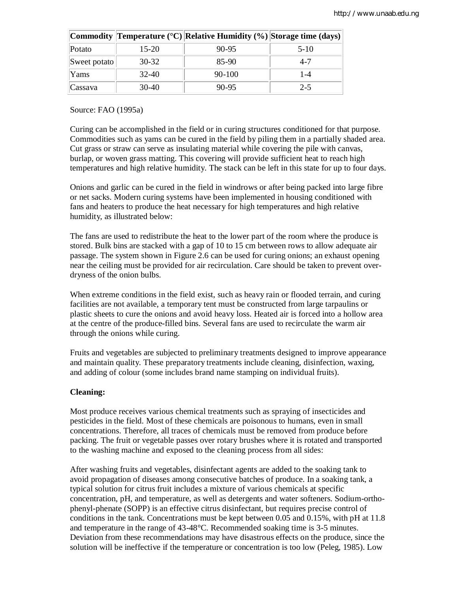|              |           | <b>Commodity Temperature (°C)</b> Relative Humidity (%) Storage time (days) |         |
|--------------|-----------|-----------------------------------------------------------------------------|---------|
| Potato       | $15-20$   | $90 - 95$                                                                   | $5-10$  |
| Sweet potato | $30 - 32$ | 85-90                                                                       | 4-7     |
| Yams         | $32-40$   | $90 - 100$                                                                  | 1-4     |
| Cassava      | $30-40$   | $90 - 95$                                                                   | $2 - 5$ |

Source: FAO (1995a)

Curing can be accomplished in the field or in curing structures conditioned for that purpose. Commodities such as yams can be cured in the field by piling them in a partially shaded area. Cut grass or straw can serve as insulating material while covering the pile with canvas, burlap, or woven grass matting. This covering will provide sufficient heat to reach high temperatures and high relative humidity. The stack can be left in this state for up to four days.

Onions and garlic can be cured in the field in windrows or after being packed into large fibre or net sacks. Modern curing systems have been implemented in housing conditioned with fans and heaters to produce the heat necessary for high temperatures and high relative humidity, as illustrated below:

The fans are used to redistribute the heat to the lower part of the room where the produce is stored. Bulk bins are stacked with a gap of 10 to 15 cm between rows to allow adequate air passage. The system shown in Figure 2.6 can be used for curing onions; an exhaust opening near the ceiling must be provided for air recirculation. Care should be taken to prevent overdryness of the onion bulbs.

When extreme conditions in the field exist, such as heavy rain or flooded terrain, and curing facilities are not available, a temporary tent must be constructed from large tarpaulins or plastic sheets to cure the onions and avoid heavy loss. Heated air is forced into a hollow area at the centre of the produce-filled bins. Several fans are used to recirculate the warm air through the onions while curing.

Fruits and vegetables are subjected to preliminary treatments designed to improve appearance and maintain quality. These preparatory treatments include cleaning, disinfection, waxing, and adding of colour (some includes brand name stamping on individual fruits).

# **Cleaning:**

Most produce receives various chemical treatments such as spraying of insecticides and pesticides in the field. Most of these chemicals are poisonous to humans, even in small concentrations. Therefore, all traces of chemicals must be removed from produce before packing. The fruit or vegetable passes over rotary brushes where it is rotated and transported to the washing machine and exposed to the cleaning process from all sides:

After washing fruits and vegetables, disinfectant agents are added to the soaking tank to avoid propagation of diseases among consecutive batches of produce. In a soaking tank, a typical solution for citrus fruit includes a mixture of various chemicals at specific concentration, pH, and temperature, as well as detergents and water softeners. Sodium-orthophenyl-phenate (SOPP) is an effective citrus disinfectant, but requires precise control of conditions in the tank. Concentrations must be kept between 0.05 and 0.15%, with pH at 11.8 and temperature in the range of 43-48°C. Recommended soaking time is 3-5 minutes. Deviation from these recommendations may have disastrous effects on the produce, since the solution will be ineffective if the temperature or concentration is too low (Peleg, 1985). Low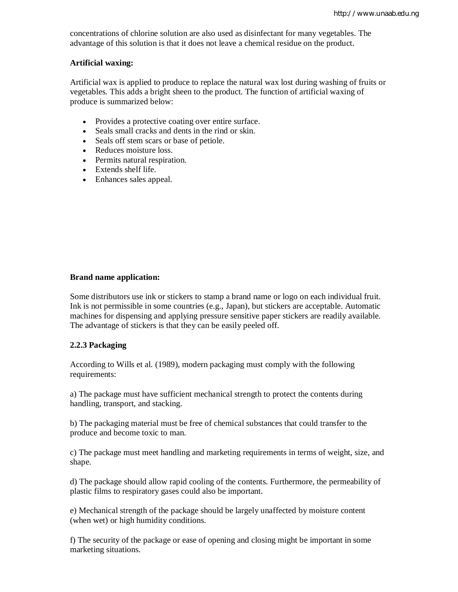concentrations of chlorine solution are also used as disinfectant for many vegetables. The advantage of this solution is that it does not leave a chemical residue on the product.

#### **Artificial waxing:**

Artificial wax is applied to produce to replace the natural wax lost during washing of fruits or vegetables. This adds a bright sheen to the product. The function of artificial waxing of produce is summarized below:

- Provides a protective coating over entire surface.
- Seals small cracks and dents in the rind or skin.
- Seals off stem scars or base of petiole.
- Reduces moisture loss.
- Permits natural respiration.
- Extends shelf life.
- Enhances sales appeal.

#### **Brand name application:**

Some distributors use ink or stickers to stamp a brand name or logo on each individual fruit. Ink is not permissible in some countries (e.g., Japan), but stickers are acceptable. Automatic machines for dispensing and applying pressure sensitive paper stickers are readily available. The advantage of stickers is that they can be easily peeled off.

#### **2.2.3 Packaging**

According to Wills et al. (1989), modern packaging must comply with the following requirements:

a) The package must have sufficient mechanical strength to protect the contents during handling, transport, and stacking.

b) The packaging material must be free of chemical substances that could transfer to the produce and become toxic to man.

c) The package must meet handling and marketing requirements in terms of weight, size, and shape.

d) The package should allow rapid cooling of the contents. Furthermore, the permeability of plastic films to respiratory gases could also be important.

e) Mechanical strength of the package should be largely unaffected by moisture content (when wet) or high humidity conditions.

f) The security of the package or ease of opening and closing might be important in some marketing situations.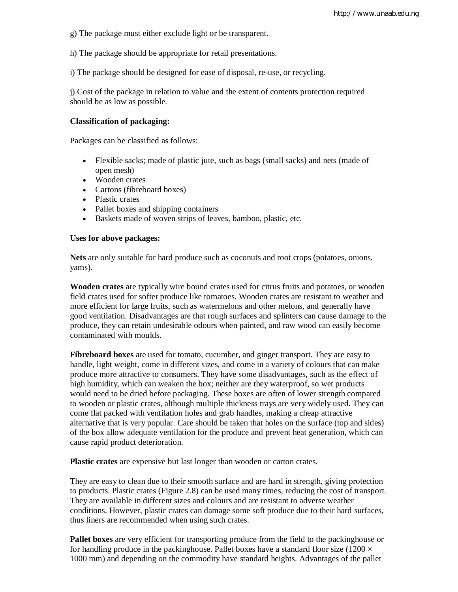g) The package must either exclude light or be transparent.

h) The package should be appropriate for retail presentations.

i) The package should be designed for ease of disposal, re-use, or recycling.

j) Cost of the package in relation to value and the extent of contents protection required should be as low as possible.

#### **Classification of packaging:**

Packages can be classified as follows:

- Flexible sacks; made of plastic jute, such as bags (small sacks) and nets (made of open mesh)
- Wooden crates
- Cartons (fibreboard boxes)
- Plastic crates
- Pallet boxes and shipping containers
- Baskets made of woven strips of leaves, bamboo, plastic, etc.

#### **Uses for above packages:**

**Nets** are only suitable for hard produce such as coconuts and root crops (potatoes, onions, yams).

**Wooden crates** are typically wire bound crates used for citrus fruits and potatoes, or wooden field crates used for softer produce like tomatoes. Wooden crates are resistant to weather and more efficient for large fruits, such as watermelons and other melons, and generally have good ventilation. Disadvantages are that rough surfaces and splinters can cause damage to the produce, they can retain undesirable odours when painted, and raw wood can easily become contaminated with moulds.

**Fibreboard boxes** are used for tomato, cucumber, and ginger transport. They are easy to handle, light weight, come in different sizes, and come in a variety of colours that can make produce more attractive to consumers. They have some disadvantages, such as the effect of high humidity, which can weaken the box; neither are they waterproof, so wet products would need to be dried before packaging. These boxes are often of lower strength compared to wooden or plastic crates, although multiple thickness trays are very widely used. They can come flat packed with ventilation holes and grab handles, making a cheap attractive alternative that is very popular. Care should be taken that holes on the surface (top and sides) of the box allow adequate ventilation for the produce and prevent heat generation, which can cause rapid product deterioration.

**Plastic crates** are expensive but last longer than wooden or carton crates.

They are easy to clean due to their smooth surface and are hard in strength, giving protection to products. Plastic crates (Figure 2.8) can be used many times, reducing the cost of transport. They are available in different sizes and colours and are resistant to adverse weather conditions. However, plastic crates can damage some soft produce due to their hard surfaces, thus liners are recommended when using such crates.

**Pallet boxes** are very efficient for transporting produce from the field to the packinghouse or for handling produce in the packinghouse. Pallet boxes have a standard floor size (1200  $\times$ 1000 mm) and depending on the commodity have standard heights. Advantages of the pallet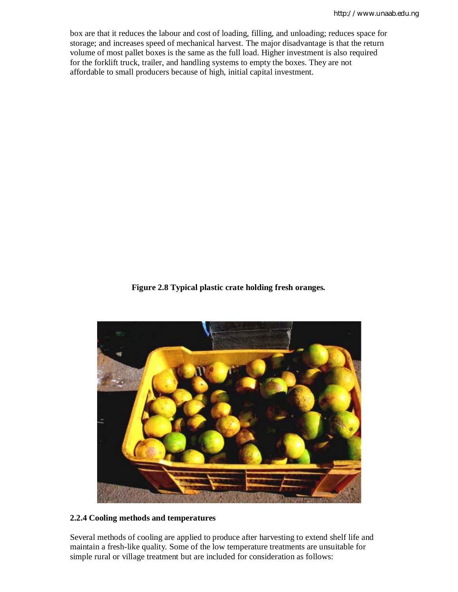box are that it reduces the labour and cost of loading, filling, and unloading; reduces space for storage; and increases speed of mechanical harvest. The major disadvantage is that the return volume of most pallet boxes is the same as the full load. Higher investment is also required for the forklift truck, trailer, and handling systems to empty the boxes. They are not affordable to small producers because of high, initial capital investment.

**Figure 2.8 Typical plastic crate holding fresh oranges***.*



# **2.2.4 Cooling methods and temperatures**

Several methods of cooling are applied to produce after harvesting to extend shelf life and maintain a fresh-like quality. Some of the low temperature treatments are unsuitable for simple rural or village treatment but are included for consideration as follows: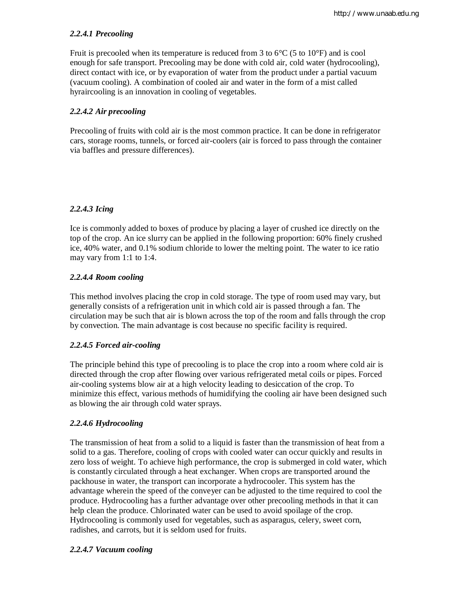# *2.2.4.1 Precooling*

Fruit is precooled when its temperature is reduced from 3 to  $6^{\circ}C$  (5 to 10 $^{\circ}F$ ) and is cool enough for safe transport. Precooling may be done with cold air, cold water (hydrocooling), direct contact with ice, or by evaporation of water from the product under a partial vacuum (vacuum cooling). A combination of cooled air and water in the form of a mist called hyraircooling is an innovation in cooling of vegetables.

# *2.2.4.2 Air precooling*

Precooling of fruits with cold air is the most common practice. It can be done in refrigerator cars, storage rooms, tunnels, or forced air-coolers (air is forced to pass through the container via baffles and pressure differences).

# *2.2.4.3 Icing*

Ice is commonly added to boxes of produce by placing a layer of crushed ice directly on the top of the crop. An ice slurry can be applied in the following proportion: 60% finely crushed ice, 40% water, and 0.1% sodium chloride to lower the melting point. The water to ice ratio may vary from 1:1 to 1:4.

# *2.2.4.4 Room cooling*

This method involves placing the crop in cold storage. The type of room used may vary, but generally consists of a refrigeration unit in which cold air is passed through a fan. The circulation may be such that air is blown across the top of the room and falls through the crop by convection. The main advantage is cost because no specific facility is required.

# *2.2.4.5 Forced air-cooling*

The principle behind this type of precooling is to place the crop into a room where cold air is directed through the crop after flowing over various refrigerated metal coils or pipes. Forced air-cooling systems blow air at a high velocity leading to desiccation of the crop. To minimize this effect, various methods of humidifying the cooling air have been designed such as blowing the air through cold water sprays.

# *2.2.4.6 Hydrocooling*

The transmission of heat from a solid to a liquid is faster than the transmission of heat from a solid to a gas. Therefore, cooling of crops with cooled water can occur quickly and results in zero loss of weight. To achieve high performance, the crop is submerged in cold water, which is constantly circulated through a heat exchanger. When crops are transported around the packhouse in water, the transport can incorporate a hydrocooler. This system has the advantage wherein the speed of the conveyer can be adjusted to the time required to cool the produce. Hydrocooling has a further advantage over other precooling methods in that it can help clean the produce. Chlorinated water can be used to avoid spoilage of the crop. Hydrocooling is commonly used for vegetables, such as asparagus, celery, sweet corn, radishes, and carrots, but it is seldom used for fruits.

# *2.2.4.7 Vacuum cooling*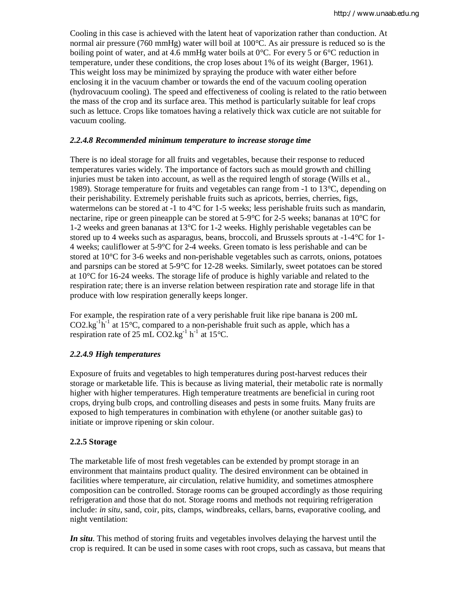Cooling in this case is achieved with the latent heat of vaporization rather than conduction. At normal air pressure (760 mmHg) water will boil at 100°C. As air pressure is reduced so is the boiling point of water, and at 4.6 mmHg water boils at  $0^{\circ}$ C. For every 5 or 6<sup>o</sup>C reduction in temperature, under these conditions, the crop loses about 1% of its weight (Barger, 1961). This weight loss may be minimized by spraying the produce with water either before enclosing it in the vacuum chamber or towards the end of the vacuum cooling operation (hydrovacuum cooling). The speed and effectiveness of cooling is related to the ratio between the mass of the crop and its surface area. This method is particularly suitable for leaf crops such as lettuce. Crops like tomatoes having a relatively thick wax cuticle are not suitable for vacuum cooling.

### *2.2.4.8 Recommended minimum temperature to increase storage time*

There is no ideal storage for all fruits and vegetables, because their response to reduced temperatures varies widely. The importance of factors such as mould growth and chilling injuries must be taken into account, as well as the required length of storage (Wills et al., 1989). Storage temperature for fruits and vegetables can range from  $-1$  to 13 $\degree$ C, depending on their perishability. Extremely perishable fruits such as apricots, berries, cherries, figs, watermelons can be stored at -1 to  $4^{\circ}$ C for 1-5 weeks; less perishable fruits such as mandarin, nectarine, ripe or green pineapple can be stored at 5-9°C for 2-5 weeks; bananas at 10°C for 1-2 weeks and green bananas at 13°C for 1-2 weeks. Highly perishable vegetables can be stored up to 4 weeks such as asparagus, beans, broccoli, and Brussels sprouts at -1-4°C for 1- 4 weeks; cauliflower at  $5-9^{\circ}$ C for 2-4 weeks. Green tomato is less perishable and can be stored at 10°C for 3-6 weeks and non-perishable vegetables such as carrots, onions, potatoes and parsnips can be stored at 5-9°C for 12-28 weeks. Similarly, sweet potatoes can be stored at 10°C for 16-24 weeks. The storage life of produce is highly variable and related to the respiration rate; there is an inverse relation between respiration rate and storage life in that produce with low respiration generally keeps longer.

For example, the respiration rate of a very perishable fruit like ripe banana is 200 mL CO2.kg<sup>-1</sup>h<sup>-1</sup> at 15°C, compared to a non-perishable fruit such as apple, which has a respiration rate of 25 mL  $CO2 \text{.} \text{kg}^{-1} \text{ h}^{-1}$  at  $15^{\circ} \text{C}$ .

# *2.2.4.9 High temperatures*

Exposure of fruits and vegetables to high temperatures during post-harvest reduces their storage or marketable life. This is because as living material, their metabolic rate is normally higher with higher temperatures. High temperature treatments are beneficial in curing root crops, drying bulb crops, and controlling diseases and pests in some fruits. Many fruits are exposed to high temperatures in combination with ethylene (or another suitable gas) to initiate or improve ripening or skin colour.

# **2.2.5 Storage**

The marketable life of most fresh vegetables can be extended by prompt storage in an environment that maintains product quality. The desired environment can be obtained in facilities where temperature, air circulation, relative humidity, and sometimes atmosphere composition can be controlled. Storage rooms can be grouped accordingly as those requiring refrigeration and those that do not. Storage rooms and methods not requiring refrigeration include: *in situ*, sand, coir, pits, clamps, windbreaks, cellars, barns, evaporative cooling, and night ventilation:

*In situ.* This method of storing fruits and vegetables involves delaying the harvest until the crop is required. It can be used in some cases with root crops, such as cassava, but means that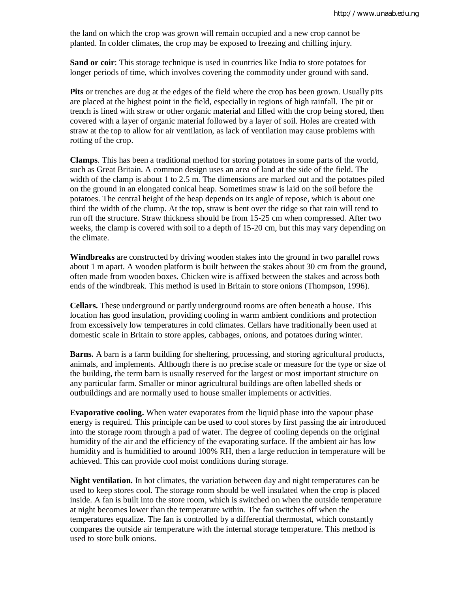the land on which the crop was grown will remain occupied and a new crop cannot be planted. In colder climates, the crop may be exposed to freezing and chilling injury.

**Sand or coir**: This storage technique is used in countries like India to store potatoes for longer periods of time, which involves covering the commodity under ground with sand.

**Pits** or trenches are dug at the edges of the field where the crop has been grown. Usually pits are placed at the highest point in the field, especially in regions of high rainfall. The pit or trench is lined with straw or other organic material and filled with the crop being stored, then covered with a layer of organic material followed by a layer of soil. Holes are created with straw at the top to allow for air ventilation, as lack of ventilation may cause problems with rotting of the crop.

**Clamps**. This has been a traditional method for storing potatoes in some parts of the world, such as Great Britain. A common design uses an area of land at the side of the field. The width of the clamp is about 1 to 2.5 m. The dimensions are marked out and the potatoes piled on the ground in an elongated conical heap. Sometimes straw is laid on the soil before the potatoes. The central height of the heap depends on its angle of repose, which is about one third the width of the clump. At the top, straw is bent over the ridge so that rain will tend to run off the structure. Straw thickness should be from 15-25 cm when compressed. After two weeks, the clamp is covered with soil to a depth of 15-20 cm, but this may vary depending on the climate.

**Windbreaks** are constructed by driving wooden stakes into the ground in two parallel rows about 1 m apart. A wooden platform is built between the stakes about 30 cm from the ground, often made from wooden boxes. Chicken wire is affixed between the stakes and across both ends of the windbreak. This method is used in Britain to store onions (Thompson, 1996).

**Cellars.** These underground or partly underground rooms are often beneath a house. This location has good insulation, providing cooling in warm ambient conditions and protection from excessively low temperatures in cold climates. Cellars have traditionally been used at domestic scale in Britain to store apples, cabbages, onions, and potatoes during winter.

**Barns.** A barn is a farm building for sheltering, processing, and storing agricultural products, animals, and implements. Although there is no precise scale or measure for the type or size of the building, the term barn is usually reserved for the largest or most important structure on any particular farm. Smaller or minor agricultural buildings are often labelled sheds or outbuildings and are normally used to house smaller implements or activities.

**Evaporative cooling.** When water evaporates from the liquid phase into the vapour phase energy is required. This principle can be used to cool stores by first passing the air introduced into the storage room through a pad of water. The degree of cooling depends on the original humidity of the air and the efficiency of the evaporating surface. If the ambient air has low humidity and is humidified to around 100% RH, then a large reduction in temperature will be achieved. This can provide cool moist conditions during storage.

**Night ventilation.** In hot climates, the variation between day and night temperatures can be used to keep stores cool. The storage room should be well insulated when the crop is placed inside. A fan is built into the store room, which is switched on when the outside temperature at night becomes lower than the temperature within. The fan switches off when the temperatures equalize. The fan is controlled by a differential thermostat, which constantly compares the outside air temperature with the internal storage temperature. This method is used to store bulk onions.